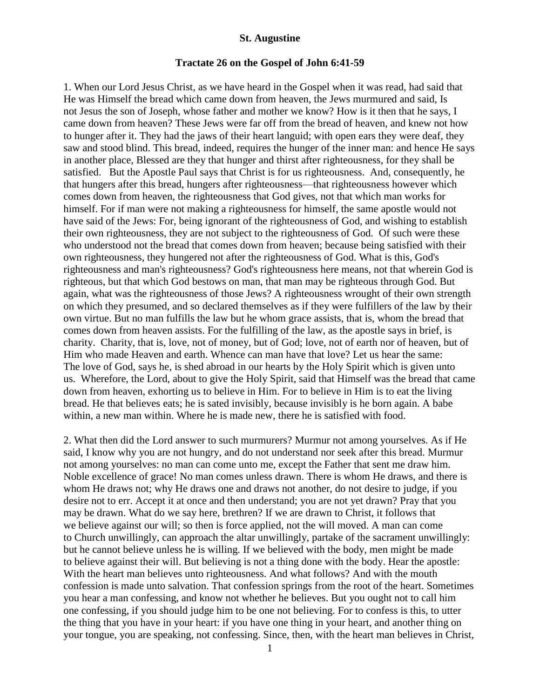## **St. Augustine**

## **Tractate 26 on the Gospel of John 6:41-59**

1. When [our Lord Jesus Christ,](http://www.newadvent.org/cathen/08374c.htm) as we have heard in the [Gospel](http://www.newadvent.org/cathen/06655b.htm) when it was read, had said that He was Himself the bread which came down from heaven, the [Jews](http://www.newadvent.org/cathen/08399a.htm) murmured and said, Is not Jesus the son of Joseph, whose father and mother we [know?](http://www.newadvent.org/cathen/08673a.htm) How is it then that he says, I came down from heaven? These [Jews](http://www.newadvent.org/cathen/08399a.htm) were far off from the bread of heaven, and [knew](http://www.newadvent.org/cathen/08673a.htm) not how to hunger after it. They had the jaws of their heart languid; with open ears they were deaf, they saw and stood blind. This bread, indeed, requires the hunger of the inner man: and hence He says in another place, Blessed are they that hunger and thirst after righteousness, for they shall be satisfied. But the [Apostle Paul](http://www.newadvent.org/cathen/11567b.htm) says that [Christ](http://www.newadvent.org/cathen/08374c.htm) is for us righteousness. And, consequently, he that hungers after this bread, hungers after righteousness—that righteousness however which comes down from heaven, the righteousness that God gives, not that which man works for himself. For if man were not making a righteousness for himself, the same apostle would not have said of the [Jews:](http://www.newadvent.org/cathen/08399a.htm) For, being [ignorant](http://www.newadvent.org/cathen/07648a.htm) of the righteousness of [God,](http://www.newadvent.org/cathen/06608a.htm) and wishing to establish their own righteousness, they are not subject to the righteousness of [God.](http://www.newadvent.org/cathen/06608a.htm) Of such were these who understood not the bread that comes down from heaven; because being satisfied with their own righteousness, they hungered not after the righteousness of [God.](http://www.newadvent.org/cathen/06608a.htm) What is this, God's righteousness and man's righteousness? God's righteousness here means, not that wherein God is righteous, but that which [God](http://www.newadvent.org/cathen/06608a.htm) bestows on man, that man may be righteous through God. But again, what was the righteousness of those [Jews?](http://www.newadvent.org/cathen/08399a.htm) A righteousness wrought of their own strength on which they presumed, and so declared themselves as if they were fulfillers of the law by their own [virtue.](http://www.newadvent.org/cathen/15472a.htm) But no man fulfills the law but he whom [grace](http://www.newadvent.org/cathen/06689a.htm) assists, that is, whom the bread that comes down from heaven assists. For the fulfilling of the law, as the apostle says in brief, is charity. Charity, that is, [love,](http://www.newadvent.org/cathen/09397a.htm) not of money, but of [God;](http://www.newadvent.org/cathen/06608a.htm) [love,](http://www.newadvent.org/cathen/09397a.htm) not of earth nor of heaven, but of Him who made [Heaven](http://www.newadvent.org/cathen/07170a.htm) and earth. Whence can man have that [love?](http://www.newadvent.org/cathen/09397a.htm) Let us hear the same: The [love](http://www.newadvent.org/cathen/09397a.htm) of [God,](http://www.newadvent.org/cathen/06608a.htm) says he, is shed abroad in our hearts by the [Holy Spirit](http://www.newadvent.org/cathen/07409a.htm) which is given unto us. Wherefore, the Lord, about to give the [Holy Spirit,](http://www.newadvent.org/cathen/07409a.htm) said that Himself was the bread that came down from heaven, exhorting us to [believe](http://www.newadvent.org/cathen/02408b.htm) in Him. For to [believe](http://www.newadvent.org/cathen/02408b.htm) in Him is to eat the living bread. He that believes eats; he is sated invisibly, because invisibly is he born again. A babe within, a new man within. Where he is made new, there he is satisfied with food.

2. What then did the Lord answer to such murmurers? Murmur not among yourselves. As if He said, I [know](http://www.newadvent.org/cathen/08673a.htm) why you are not hungry, and do not understand nor seek after this bread. Murmur not among yourselves: no man can come unto me, except the Father that sent me draw him. Noble excellence of [grace!](http://www.newadvent.org/cathen/06689a.htm) No man comes unless drawn. There is whom He draws, and there is whom He draws not; why He draws one and draws not another, do not desire to judge, if you desire not to [err.](http://www.newadvent.org/cathen/05525a.htm) Accept it at once and then understand; you are not yet drawn? Pray that you may be drawn. What do we say here, brethren? If we are drawn to [Christ,](http://www.newadvent.org/cathen/08374c.htm) it follows that we [believe](http://www.newadvent.org/cathen/02408b.htm) against our [will;](http://www.newadvent.org/cathen/15624a.htm) so then is force applied, not the will moved. A man can come to Church unwillingly, can approach the altar unwillingly, partake of the sacrament unwillingly: but he cannot [believe](http://www.newadvent.org/cathen/02408b.htm) unless he is willing. If we [believed](http://www.newadvent.org/cathen/02408b.htm) with the body, men might be made to [believe](http://www.newadvent.org/cathen/02408b.htm) against their will. But believing is not a thing done with the body. Hear the apostle: With the heart man [believes](http://www.newadvent.org/cathen/02408b.htm) unto righteousness. And what follows? And with the mouth confession is made unto [salvation.](http://www.newadvent.org/cathen/13407a.htm) That confession springs from the root of the heart. Sometimes you hear a man confessing, and [know](http://www.newadvent.org/cathen/08675a.htm) not whether he believes. But you ought not to call him one confessing, if you should judge him to be one not believing. For to confess is this, to utter the thing that you have in your heart: if you have one thing in your heart, and another thing on your tongue, you are speaking, not confessing. Since, then, with the heart man [believes](http://www.newadvent.org/cathen/02408b.htm) in [Christ,](http://www.newadvent.org/cathen/08374c.htm)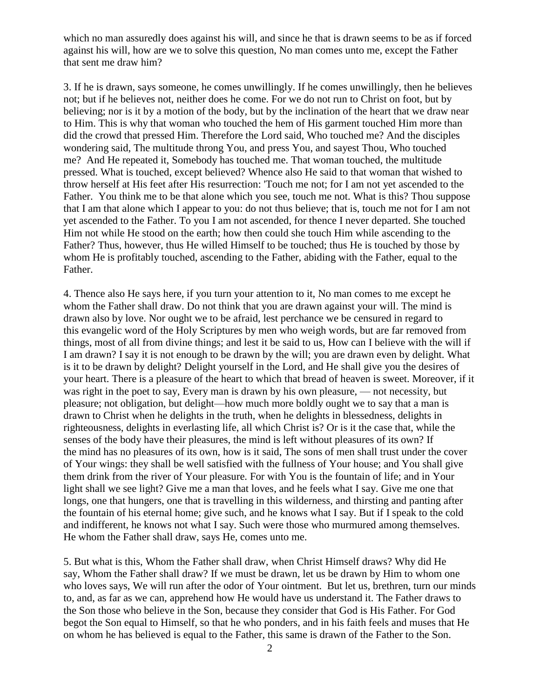which no man assuredly does against his will, and since he that is drawn seems to be as if forced against his will, how are we to solve this question, No man comes unto me, except the Father that sent me draw him?

3. If he is drawn, says someone, he comes unwillingly. If he comes unwillingly, then he believes not; but if he believes not, neither does he come. For we do not run to Christ on foot, but by believing; nor is it by a motion of the body, but by the inclination of the heart that we draw near to Him. This is why that [woman](http://www.newadvent.org/cathen/15687b.htm) who touched the hem of His garment touched Him more than did the crowd that pressed Him. Therefore the Lord said, Who touched me? And the [disciples](http://www.newadvent.org/cathen/05029a.htm) wondering said, The multitude throng You, and press You, and sayest Thou, Who touched me? And He repeated it, Somebody has touched me. That [woman](http://www.newadvent.org/cathen/15687b.htm) touched, the multitude pressed. What is touched, except [believed?](http://www.newadvent.org/cathen/02408b.htm) Whence also He said to that [woman](http://www.newadvent.org/cathen/15687b.htm) that wished to throw herself at His feet after His [resurrection:](http://www.newadvent.org/cathen/12789a.htm) 'Touch me not; for I am not yet ascended to the Father. You think me to be that alone which you see, touch me not. What is this? Thou suppose that I am that alone which I appear to you: do not thus [believe;](http://www.newadvent.org/cathen/02408b.htm) that is, touch me not for I am not yet ascended to the Father. To you I am not ascended, for thence I never departed. She touched Him not while He stood on the earth; how then could she touch Him while ascending to the Father? Thus, however, thus He willed Himself to be touched; thus He is touched by those by whom He is profitably touched, ascending to the [Father,](http://www.newadvent.org/cathen/06608a.htm) abiding with the [Father,](http://www.newadvent.org/cathen/06608a.htm) equal to the Father.

4. Thence also He says here, if you turn your attention to it, No man comes to me except he whom the Father shall draw. Do not think that you are drawn against your will. The mind is drawn also by [love.](http://www.newadvent.org/cathen/09397a.htm) Nor ought we to be afraid, lest perchance we be censured in regard to this evangelic word of the [Holy Scriptures](http://www.newadvent.org/bible/index.html) by men who weigh words, but are far removed from things, most of all from divine things; and lest it be said to us, How can I [believe](http://www.newadvent.org/cathen/02408b.htm) with the will if I am drawn? I say it is not enough to be drawn by the will; you are drawn even by delight. What is it to be drawn by delight? Delight yourself in the [Lord,](http://www.newadvent.org/cathen/08374c.htm) and He shall give you the desires of your heart. There is a pleasure of the heart to which that bread of heaven is sweet. Moreover, if it was right in the poet to say, Every man is drawn by his own pleasure, — not necessity, but pleasure; not obligation, but delight—how much more boldly ought we to say that a man is drawn to Christ when he delights in the [truth,](http://www.newadvent.org/cathen/15073a.htm) when he delights in blessedness, delights in righteousness, delights in everlasting life, all which Christ is? Or is it the case that, while the senses of the body have their pleasures, the mind is left without pleasures of its own? If the mind has no pleasures of its own, how is it said, The sons of men shall trust under the cover of Your wings: they shall be well satisfied with the fullness of Your house; and You shall give them drink from the river of Your pleasure. For with You is the fountain of life; and in Your light shall we see light? Give me a man that loves, and he feels what I say. Give me one that longs, one that hungers, one that is travelling in this wilderness, and thirsting and panting after the fountain of his [eternal](http://www.newadvent.org/cathen/05551b.htm) home; give such, and he [knows](http://www.newadvent.org/cathen/08673a.htm) what I say. But if I speak to the cold and indifferent, he [knows](http://www.newadvent.org/cathen/08673a.htm) not what I say. Such were those who murmured among themselves. He whom the Father shall draw, says He, comes unto me.

5. But what is this, Whom the Father shall draw, when Christ Himself draws? Why did He say, Whom the Father shall draw? If we must be drawn, let us be drawn by Him to whom one who loves says, We will run after the odor of Your ointment. But let us, brethren, turn our minds to, and, as far as we can, apprehend how He would have us understand it. The Father draws to the Son those who [believe](http://www.newadvent.org/cathen/02408b.htm) in the [Son,](http://www.newadvent.org/cathen/14142b.htm) because they consider that God is His Father. For God begot the Son equal to Himself, so that he who ponders, and in his [faith](http://www.newadvent.org/cathen/05752c.htm) feels and muses that He on whom he has [believed](http://www.newadvent.org/cathen/02408b.htm) is equal to the [Father,](http://www.newadvent.org/cathen/06608a.htm) this same is drawn of the Father to the Son.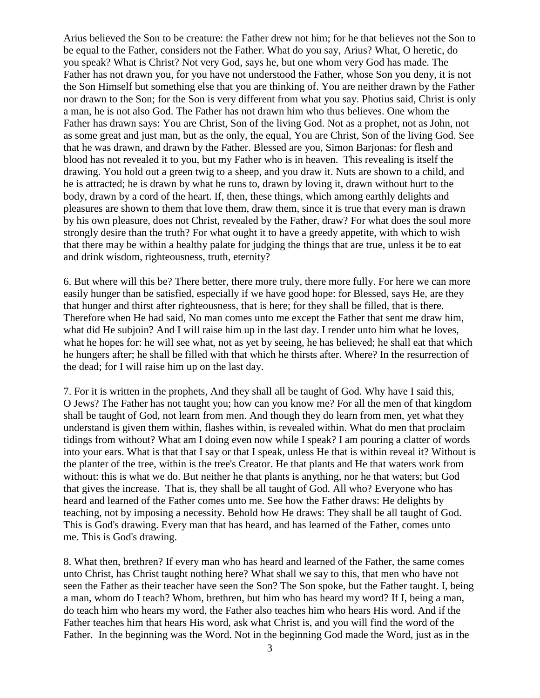[Arius](http://www.newadvent.org/cathen/01718a.htm) [believed](http://www.newadvent.org/cathen/02408b.htm) the Son to be creature: the Father drew not him; for he that believes not the Son to be equal to the [Father,](http://www.newadvent.org/cathen/06608a.htm) considers not the Father. What do you say, [Arius?](http://www.newadvent.org/cathen/01718a.htm) What, O [heretic,](http://www.newadvent.org/cathen/07256b.htm) do you speak? What is Christ? Not very [God,](http://www.newadvent.org/cathen/06608a.htm) says he, but one whom very God has made. The Father has not drawn you, for you have not understood the [Father,](http://www.newadvent.org/cathen/06608a.htm) whose Son you deny, it is not the Son Himself but something else that you are thinking of. You are neither drawn by the Father nor drawn to the Son; for the Son is very different from what you say. Photius said, Christ is only a [man,](http://www.newadvent.org/cathen/09580c.htm) he is not also God. The Father has not drawn him who thus believes. One whom the Father has drawn says: You are Christ, Son of the living God. Not as a [prophet,](http://www.newadvent.org/cathen/12477a.htm) not as John, not as some great and just man, but as the only, the equal, You are Christ, Son of the living God. See that he was drawn, and drawn by the Father. Blessed are you, Simon Barjonas: for flesh and blood has not revealed it to you, but my Father who is in heaven. This revealing is itself the drawing. You hold out a green twig to a sheep, and you draw it. Nuts are shown to a child, and he is attracted; he is drawn by what he runs to, drawn by loving it, drawn without hurt to the body, drawn by a cord of the heart. If, then, these things, which among earthly delights and pleasures are shown to them that [love](http://www.newadvent.org/cathen/09397a.htm) them, draw them, since it is [true](http://www.newadvent.org/cathen/15073a.htm) that every man is drawn by his own pleasure, does not Christ, revealed by the [Father,](http://www.newadvent.org/cathen/06608a.htm) draw? For what does the [soul](http://www.newadvent.org/cathen/14153a.htm) more strongly desire than the [truth?](http://www.newadvent.org/cathen/15073a.htm) For what ought it to have a greedy appetite, with which to wish that there may be within a healthy palate for judging the things that are [true,](http://www.newadvent.org/cathen/15073a.htm) unless it be to eat and drink wisdom, righteousness, [truth,](http://www.newadvent.org/cathen/15073a.htm) [eternity?](http://www.newadvent.org/cathen/05551b.htm)

6. But where will this be? There better, there more [truly,](http://www.newadvent.org/cathen/15073a.htm) there more fully. For here we can more easily hunger than be satisfied, especially if we have good hope: for Blessed, says He, are they that hunger and thirst after righteousness, that is here; for they shall be filled, that is there. Therefore when He had said, No man comes unto me except the Father that sent me draw him, what did He subjoin? And I will raise him up in the last day. I render unto him what he loves, what he hopes for: he will see what, not as yet by seeing, he has [believed;](http://www.newadvent.org/cathen/02408b.htm) he shall eat that which he hungers after; he shall be filled with that which he thirsts after. Where? In the resurrection of the dead; for I will raise him up on the last day.

7. For it is written in the [prophets,](http://www.newadvent.org/cathen/12477a.htm) And they shall all be taught of [God.](http://www.newadvent.org/cathen/06608a.htm) Why have I said this, O [Jews?](http://www.newadvent.org/cathen/08399a.htm) The Father has not taught you; how can you [know](http://www.newadvent.org/cathen/08673a.htm) me? For all the men of that kingdom shall be taught of [God,](http://www.newadvent.org/cathen/06608a.htm) not learn from men. And though they do learn from men, yet what they understand is given them within, flashes within, is revealed within. What do men that proclaim tidings from without? What am I doing even now while I speak? I am pouring a clatter of words into your ears. What is that that I say or that I speak, unless He that is within reveal it? Without is the planter of the tree, within is the tree's Creator. He that plants and He that waters work from without: this is what we do. But neither he that plants is anything, nor he that waters; but God that gives the increase. That is, they shall be all taught of [God.](http://www.newadvent.org/cathen/06608a.htm) All who? Everyone who has heard and learned of the Father comes unto me. See how the Father draws: He delights by teaching, not by imposing a necessity. Behold how He draws: They shall be all taught of [God.](http://www.newadvent.org/cathen/06608a.htm) This is God's drawing. Every man that has heard, and has learned of the [Father,](http://www.newadvent.org/cathen/06608a.htm) comes unto me. This is God's drawing.

8. What then, brethren? If every man who has heard and learned of the [Father,](http://www.newadvent.org/cathen/06608a.htm) the same comes unto Christ, has Christ taught nothing here? What shall we say to this, that men who have not seen the Father as their teacher have seen the Son? The Son spoke, but the Father taught. I, being a [man,](http://www.newadvent.org/cathen/09580c.htm) whom do I teach? Whom, brethren, but him who has heard my word? If I, being a [man,](http://www.newadvent.org/cathen/09580c.htm) do teach him who hears my word, the Father also teaches him who hears His word. And if the Father teaches him that hears His word, ask what Christ is, and you will find the word of the Father. In the beginning was the Word. Not in the beginning God made the Word, just as in the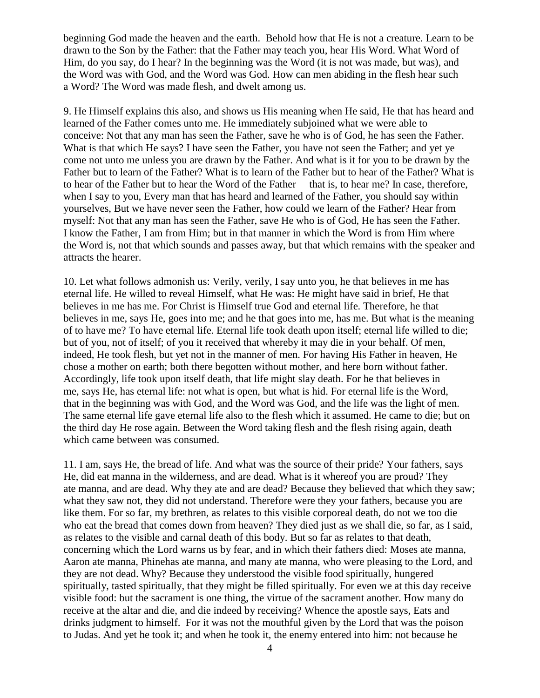beginning God made the heaven and the earth. Behold how that He is not a creature. Learn to be drawn to the Son by the Father: that the Father may teach you, hear His Word. What Word of Him, do you say, do I hear? In the beginning was the Word (it is not was made, but was), and the Word was with [God,](http://www.newadvent.org/cathen/06608a.htm) and the Word was God. How can men abiding in the flesh hear such a Word? The [Word](http://www.newadvent.org/cathen/09328a.htm) was [made flesh,](http://www.newadvent.org/cathen/07706b.htm) and dwelt among us.

9. He Himself explains this also, and shows us His meaning when He said, He that has heard and learned of the Father comes unto me. He immediately subjoined what we were able to conceive: Not that any man has seen the [Father,](http://www.newadvent.org/cathen/06608a.htm) save he who is of [God,](http://www.newadvent.org/cathen/06608a.htm) he has seen the Father. What is that which He says? I have seen the [Father,](http://www.newadvent.org/cathen/06608a.htm) you have not seen the Father; and yet ye come not unto me unless you are drawn by the Father. And what is it for you to be drawn by the Father but to learn of the Father? What is to learn of the Father but to hear of the Father? What is to hear of the Father but to hear the Word of the Father— that is, to hear me? In case, therefore, when I say to you, Every man that has heard and learned of the [Father,](http://www.newadvent.org/cathen/06608a.htm) you should say within yourselves, But we have never seen the [Father,](http://www.newadvent.org/cathen/06608a.htm) how could we learn of the Father? Hear from myself: Not that any man has seen the [Father,](http://www.newadvent.org/cathen/06608a.htm) save He who is of [God,](http://www.newadvent.org/cathen/06608a.htm) He has seen the Father. I [know](http://www.newadvent.org/cathen/08673a.htm) the [Father,](http://www.newadvent.org/cathen/06608a.htm) I am from Him; but in that manner in which the Word is from Him where the Word is, not that which sounds and passes away, but that which remains with the speaker and attracts the hearer.

10. Let what follows admonish us: Verily, verily, I say unto you, he that [believes](http://www.newadvent.org/cathen/02408b.htm) in me has [eternal](http://www.newadvent.org/cathen/05551b.htm) life. He willed to reveal Himself, what He was: He might have said in brief, He that [believes](http://www.newadvent.org/cathen/02408b.htm) in me has me. For Christ is Himself [true](http://www.newadvent.org/cathen/15073a.htm) God and [eternal](http://www.newadvent.org/cathen/05551b.htm) life. Therefore, he that [believes](http://www.newadvent.org/cathen/02408b.htm) in me, says He, goes into me; and he that goes into me, has me. But what is the meaning of to have me? To have [eternal](http://www.newadvent.org/cathen/05551b.htm) life. Eternal life took death upon itself; [eternal](http://www.newadvent.org/cathen/05551b.htm) life willed to die; but of you, not of itself; of you it received that whereby it may die in your behalf. Of men, indeed, He took flesh, but yet not in the manner of men. For having His Father in heaven, He chose a mother on earth; both there begotten without mother, and here born without father. Accordingly, life took upon itself death, that life might slay death. For he that [believes](http://www.newadvent.org/cathen/02408b.htm) in me, says He, has [eternal](http://www.newadvent.org/cathen/05551b.htm) life: not what is open, but what is hid. For [eternal](http://www.newadvent.org/cathen/05551b.htm) life is the Word, that in the beginning was with [God,](http://www.newadvent.org/cathen/06608a.htm) and the Word was [God,](http://www.newadvent.org/cathen/06608a.htm) and the life was the light of men. The same [eternal](http://www.newadvent.org/cathen/05551b.htm) life gave [eternal](http://www.newadvent.org/cathen/05551b.htm) life also to the flesh which it assumed. He came to die; but on the third day He rose again. Between the Word taking flesh and the flesh rising again, death which came between was consumed.

11. I am, says He, the bread of life. And what was the source of their [pride?](http://www.newadvent.org/cathen/12405a.htm) Your fathers, says He, did eat manna in the wilderness, and are dead. What is it whereof you are [proud?](http://www.newadvent.org/cathen/12405a.htm) They ate manna, and are dead. Why they ate and are dead? Because they [believed](http://www.newadvent.org/cathen/02408b.htm) that which they saw; what they saw not, they did not understand. Therefore were they your fathers, because you are like them. For so far, my brethren, as relates to this visible corporeal death, do not we too die who eat the bread that comes down from heaven? They died just as we shall die, so far, as I said, as relates to the visible and carnal death of this body. But so far as relates to that death, concerning which the Lord warns us by [fear,](http://www.newadvent.org/cathen/06021a.htm) and in which their fathers died: [Moses](http://www.newadvent.org/cathen/10596a.htm) ate manna, [Aaron](http://www.newadvent.org/cathen/01003a.htm) ate manna, Phinehas ate manna, and many ate manna, who were pleasing to the Lord, and they are not dead. Why? Because they understood the visible food spiritually, hungered spiritually, tasted spiritually, that they might be filled spiritually. For even we at this day receive visible food: but the sacrament is one thing, the [virtue](http://www.newadvent.org/cathen/15472a.htm) of the sacrament another. How many do receive at the altar and die, and die indeed by receiving? Whence the apostle says, Eats and drinks judgment to himself. For it was not the mouthful given by the Lord that was the poison to Judas. And yet he took it; and when he took it, the enemy entered into him: not because he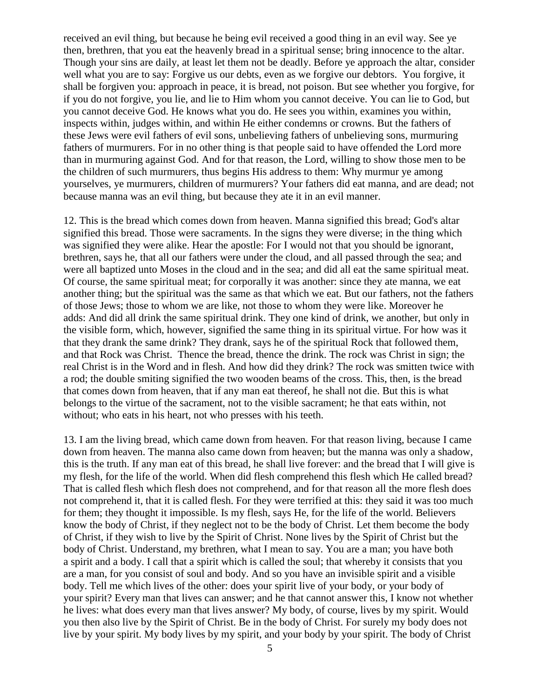received an [evil](http://www.newadvent.org/cathen/05649a.htm) thing, but because he being [evil](http://www.newadvent.org/cathen/05649a.htm) received a good thing in an [evil](http://www.newadvent.org/cathen/05649a.htm) way. See ye then, brethren, that you eat the heavenly bread in a spiritual sense; bring innocence to the altar. Though your [sins](http://www.newadvent.org/cathen/14004b.htm) are daily, at least let them not be deadly. Before ye approach the altar, consider well what you are to say: Forgive us our debts, even as we forgive our debtors. You forgive, it shall be forgiven you: approach in peace, it is bread, not poison. But see whether you forgive, for if you do not forgive, you lie, and lie to Him whom you cannot deceive. You can lie to [God,](http://www.newadvent.org/cathen/06608a.htm) but you cannot deceive God. He [knows](http://www.newadvent.org/cathen/08673a.htm) what you do. He sees you within, examines you within, inspects within, judges within, and within He either condemns or crowns. But the fathers of these [Jews](http://www.newadvent.org/cathen/08399a.htm) were [evil](http://www.newadvent.org/cathen/05649a.htm) fathers of [evil](http://www.newadvent.org/cathen/05649a.htm) sons, unbelieving fathers of unbelieving sons, murmuring fathers of murmurers. For in no other thing is that people said to have offended the Lord more than in murmuring against God. And for that reason, the Lord, willing to show those men to be the children of such murmurers, thus begins His address to them: Why murmur ye among yourselves, ye murmurers, children of murmurers? Your fathers did eat manna, and are dead; not because manna was an [evil](http://www.newadvent.org/cathen/05649a.htm) thing, but because they ate it in an [evil](http://www.newadvent.org/cathen/05649a.htm) manner.

12. This is the bread which comes down from heaven. Manna signified this bread; God's altar signified this bread. Those were [sacraments.](http://www.newadvent.org/cathen/13295a.htm) In the signs they were diverse; in the thing which was signified they were alike. Hear the apostle: For I would not that you should be [ignorant,](http://www.newadvent.org/cathen/07648a.htm) brethren, says he, that all our fathers were under the cloud, and all passed through the sea; and were all [baptized](http://www.newadvent.org/cathen/02258b.htm) unto [Moses](http://www.newadvent.org/cathen/10596a.htm) in the cloud and in the sea; and did all eat the same spiritual meat. Of course, the same spiritual meat; for corporally it was another: since they ate manna, we eat another thing; but the spiritual was the same as that which we eat. But our fathers, not the fathers of those [Jews;](http://www.newadvent.org/cathen/08399a.htm) those to whom we are like, not those to whom they were like. Moreover he adds: And did all drink the same spiritual drink. They one kind of drink, we another, but only in the visible form, which, however, signified the same thing in its spiritual [virtue.](http://www.newadvent.org/cathen/15472a.htm) For how was it that they drank the same drink? They drank, says he of the spiritual Rock that followed them, and that Rock was Christ. Thence the bread, thence the drink. The rock was Christ in sign; the real Christ is in the Word and in flesh. And how did they drink? The rock was smitten twice with a rod; the double smiting signified the two wooden beams of the cross. This, then, is the bread that comes down from heaven, that if any man eat thereof, he shall not die. But this is what belongs to the [virtue](http://www.newadvent.org/cathen/15472a.htm) of the sacrament, not to the visible sacrament; he that eats within, not without; who eats in his heart, not who presses with his teeth.

13. I am the living bread, which came down from heaven. For that reason living, because I came down from heaven. The manna also came down from heaven; but the manna was only a shadow, this is the [truth.](http://www.newadvent.org/cathen/15073a.htm) If any man eat of this bread, he shall live forever: and the bread that I will give is my flesh, for the life of the world. When did flesh comprehend this flesh which He called bread? That is called flesh which flesh does not comprehend, and for that reason all the more flesh does not comprehend it, that it is called flesh. For they were terrified at this: they said it was too much for them; they thought it impossible. Is my flesh, says He, for the life of the world. Believers [know](http://www.newadvent.org/cathen/08673a.htm) the body of [Christ,](http://www.newadvent.org/cathen/08374c.htm) if they neglect not to be the body of [Christ.](http://www.newadvent.org/cathen/08374c.htm) Let them become the body of [Christ,](http://www.newadvent.org/cathen/08374c.htm) if they wish to live by the Spirit of [Christ.](http://www.newadvent.org/cathen/08374c.htm) None lives by the Spirit of Christ but the body of [Christ.](http://www.newadvent.org/cathen/08374c.htm) Understand, my brethren, what I mean to say. You are a man; you have both a spirit and a body. I call that a spirit which is called the [soul;](http://www.newadvent.org/cathen/14153a.htm) that whereby it consists that you are a [man,](http://www.newadvent.org/cathen/09580c.htm) for you consist of [soul](http://www.newadvent.org/cathen/14153a.htm) and body. And so you have an invisible spirit and a visible body. Tell me which lives of the other: does your spirit live of your body, or your body of your spirit? Every man that lives can answer; and he that cannot answer this, I [know](http://www.newadvent.org/cathen/08673a.htm) not whether he lives: what does every man that lives answer? My body, of course, lives by my spirit. Would you then also live by the Spirit of [Christ.](http://www.newadvent.org/cathen/08374c.htm) Be in the body of [Christ.](http://www.newadvent.org/cathen/08374c.htm) For surely my body does not live by your spirit. My body lives by my spirit, and your body by your spirit. The body of Christ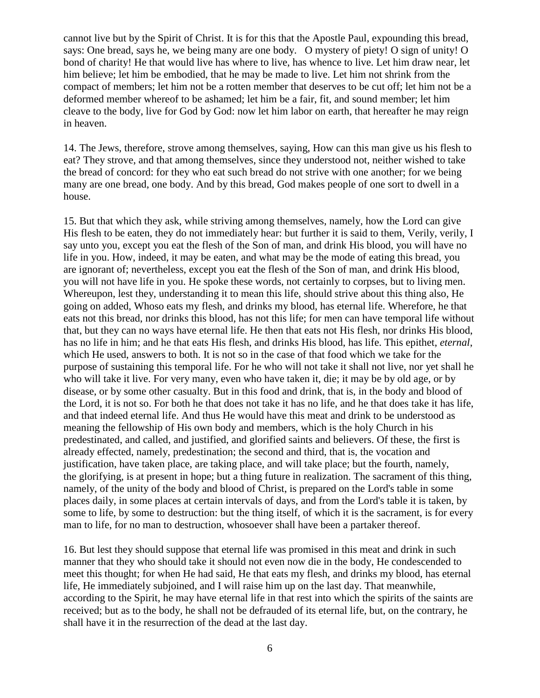cannot live but by the Spirit of [Christ.](http://www.newadvent.org/cathen/08374c.htm) It is for this that the [Apostle Paul,](http://www.newadvent.org/cathen/11567b.htm) expounding this bread, says: One bread, says he, we being many are one body. O [mystery](http://www.newadvent.org/cathen/10662a.htm) of [piety!](http://www.newadvent.org/cathen/12748a.htm) O sign of unity! O bond of charity! He that would live has where to live, has whence to live. Let him draw near, let him [believe;](http://www.newadvent.org/cathen/02408b.htm) let him be embodied, that he may be made to live. Let him not shrink from the compact of members; let him not be a rotten member that deserves to be cut off; let him not be a deformed member whereof to be ashamed; let him be a fair, fit, and sound member; let him cleave to the body, live for God by [God:](http://www.newadvent.org/cathen/06608a.htm) now let him labor on earth, that hereafter he may reign in heaven.

14. The [Jews,](http://www.newadvent.org/cathen/08399a.htm) therefore, strove among themselves, saying, How can this man give us his flesh to eat? They strove, and that among themselves, since they understood not, neither wished to take the bread of concord: for they who eat such bread do not strive with one another; for we being many are one bread, one body. And by this bread, [God](http://www.newadvent.org/cathen/06608a.htm) makes people of one sort to dwell in a house.

15. But that which they ask, while striving among themselves, namely, how the Lord can give His flesh to be eaten, they do not immediately hear: but further it is said to them, Verily, verily, I say unto you, except you eat the flesh of the [Son of man,](http://www.newadvent.org/cathen/14144a.htm) and drink His blood, you will have no life in you. How, indeed, it may be eaten, and what may be the mode of eating this bread, you are [ignorant](http://www.newadvent.org/cathen/07648a.htm) of; nevertheless, except you eat the flesh of the [Son of man,](http://www.newadvent.org/cathen/14144a.htm) and drink His blood, you will not have life in you. He spoke these words, not certainly to corpses, but to living men. Whereupon, lest they, understanding it to mean this life, should strive about this thing also, He going on added, Whoso eats my flesh, and drinks my blood, has [eternal](http://www.newadvent.org/cathen/05551b.htm) life. Wherefore, he that eats not this bread, nor drinks this blood, has not this life; for men can have temporal life without that, but they can no ways have [eternal](http://www.newadvent.org/cathen/05551b.htm) life. He then that eats not His flesh, nor drinks His blood, has no life in him; and he that eats His flesh, and drinks His blood, has life. This epithet, *[eternal](http://www.newadvent.org/cathen/05551b.htm)*, which He used, answers to both. It is not so in the case of that food which we take for the purpose of sustaining this temporal life. For he who will not take it shall not live, nor yet shall he who will take it live. For very many, even who have taken it, die; it may be by old age, or by disease, or by some other casualty. But in this food and drink, that is, in the body and blood of the Lord, it is not so. For both he that does not take it has no life, and he that does take it has life, and that indeed [eternal](http://www.newadvent.org/cathen/05551b.htm) life. And thus He would have this meat and drink to be understood as meaning the fellowship of His own body and members, which is the [holy](http://www.newadvent.org/cathen/07386a.htm) Church in his [predestinated,](http://www.newadvent.org/cathen/12378a.htm) and called, and justified, and [glorified](http://www.newadvent.org/cathen/06585a.htm) [saints](http://www.newadvent.org/cathen/04171a.htm) and [believers.](http://www.newadvent.org/cathen/05769a.htm) Of these, the first is already effected, namely, [predestination;](http://www.newadvent.org/cathen/12378a.htm) the second and third, that is, the vocation and justification, have taken place, are taking place, and will take place; but the fourth, namely, the glorifying, is at present in hope; but a thing future in realization. The sacrament of this thing, namely, of the unity of the body and blood of [Christ,](http://www.newadvent.org/cathen/08374c.htm) is prepared on the Lord's table in some places daily, in some places at certain intervals of days, and from the Lord's table it is taken, by some to life, by some to destruction: but the thing itself, of which it is the sacrament, is for every man to life, for no man to destruction, whosoever shall have been a partaker thereof.

16. But lest they should suppose that [eternal](http://www.newadvent.org/cathen/05551b.htm) life was promised in this meat and drink in such manner that they who should take it should not even now die in the body, He condescended to meet this thought; for when He had said, He that eats my flesh, and drinks my blood, has [eternal](http://www.newadvent.org/cathen/05551b.htm) life, He immediately subjoined, and I will raise him up on the last day. That meanwhile, according to the [Spirit,](http://www.newadvent.org/cathen/07409a.htm) he may have [eternal](http://www.newadvent.org/cathen/05551b.htm) life in that rest into which the spirits of the [saints](http://www.newadvent.org/cathen/04171a.htm) are received; but as to the body, he shall not be defrauded of its [eternal](http://www.newadvent.org/cathen/05551b.htm) life, but, on the contrary, he shall have it in the resurrection of the dead at the last day.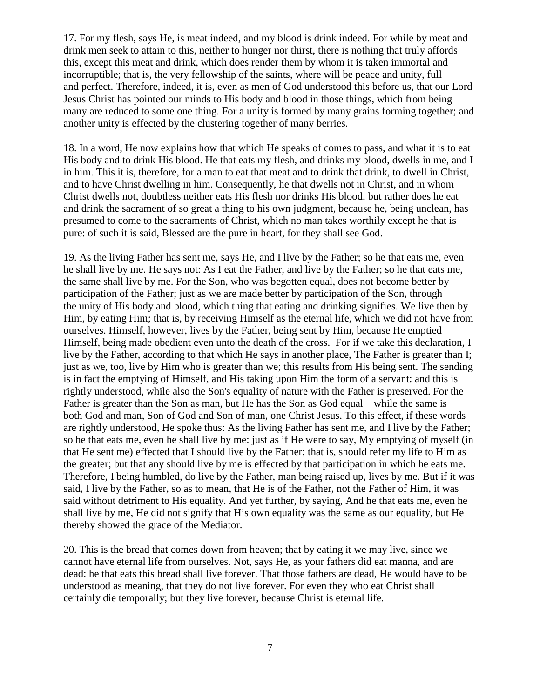17. For my flesh, says He, is meat indeed, and my blood is drink indeed. For while by meat and drink men seek to attain to this, neither to hunger nor thirst, there is nothing that [truly](http://www.newadvent.org/cathen/15073a.htm) affords this, except this meat and drink, which does render them by whom it is taken [immortal](http://www.newadvent.org/cathen/07687a.htm) and incorruptible; that is, the very fellowship of the [saints,](http://www.newadvent.org/cathen/04171a.htm) where will be peace and unity, full and perfect. Therefore, indeed, it is, even as men of God understood this before us, that [our Lord](http://www.newadvent.org/cathen/08374c.htm)  [Jesus Christ](http://www.newadvent.org/cathen/08374c.htm) has pointed our minds to His body and blood in those things, which from being many are reduced to some one thing. For a unity is formed by many grains forming together; and another unity is effected by the clustering together of many berries.

18. In a word, He now explains how that which He speaks of comes to pass, and what it is to eat His body and to drink His blood. He that eats my flesh, and drinks my blood, dwells in me, and I in him. This it is, therefore, for a man to eat that meat and to drink that drink, to dwell in [Christ,](http://www.newadvent.org/cathen/08374c.htm) and to have Christ dwelling in him. Consequently, he that dwells not in [Christ,](http://www.newadvent.org/cathen/08374c.htm) and in whom Christ dwells not, doubtless neither eats His flesh nor drinks His blood, but rather does he eat and drink the sacrament of so great a thing to his own judgment, because he, being unclean, has presumed to come to the [sacraments](http://www.newadvent.org/cathen/13295a.htm) of [Christ,](http://www.newadvent.org/cathen/08374c.htm) which no man takes worthily except he that is pure: of such it is said, Blessed are the pure in heart, for they shall see God.

19. As the living Father has sent me, says He, and I live by the Father; so he that eats me, even he shall live by me. He says not: As I eat the [Father,](http://www.newadvent.org/cathen/06608a.htm) and live by the Father; so he that eats me, the same shall live by me. For the [Son,](http://www.newadvent.org/cathen/14142b.htm) who was begotten equal, does not become better by participation of the Father; just as we are made better by participation of the [Son,](http://www.newadvent.org/cathen/14142b.htm) through the unity of His body and blood, which thing that eating and drinking signifies. We live then by Him, by eating Him; that is, by receiving Himself as the [eternal](http://www.newadvent.org/cathen/05551b.htm) life, which we did not have from ourselves. Himself, however, lives by the [Father,](http://www.newadvent.org/cathen/06608a.htm) being sent by Him, because He emptied Himself, being made [obedient](http://www.newadvent.org/cathen/11181c.htm) even unto the death of the cross. For if we take this declaration, I live by the [Father,](http://www.newadvent.org/cathen/06608a.htm) according to that which He says in another place, The Father is greater than I; just as we, too, live by Him who is greater than we; this results from His being sent. The sending is in fact the emptying of Himself, and His taking upon Him the form of a servant: and this is rightly understood, while also the Son's equality of nature with the Father is preserved. For the Father is greater than the Son as man, but He has the Son as God equal—while the same is both [God](http://www.newadvent.org/cathen/06608a.htm) and [man,](http://www.newadvent.org/cathen/09580c.htm) [Son of God](http://www.newadvent.org/cathen/14142b.htm) and [Son of man,](http://www.newadvent.org/cathen/14144a.htm) one Christ Jesus. To this effect, if these words are rightly understood, He spoke thus: As the living Father has sent me, and I live by the Father; so he that eats me, even he shall live by me: just as if He were to say, My emptying of myself (in that He sent me) effected that I should live by the Father; that is, should refer my life to Him as the greater; but that any should live by me is effected by that participation in which he eats me. Therefore, I being humbled, do live by the [Father,](http://www.newadvent.org/cathen/06608a.htm) man being raised up, lives by me. But if it was said, I live by the [Father,](http://www.newadvent.org/cathen/06608a.htm) so as to mean, that He is of the [Father,](http://www.newadvent.org/cathen/06608a.htm) not the Father of Him, it was said without detriment to His equality. And yet further, by saying, And he that eats me, even he shall live by me, He did not signify that His own equality was the same as our equality, but He thereby showed the [grace](http://www.newadvent.org/cathen/06689a.htm) of the Mediator.

20. This is the bread that comes down from heaven; that by eating it we may live, since we cannot have [eternal](http://www.newadvent.org/cathen/05551b.htm) life from ourselves. Not, says He, as your fathers did eat manna, and are dead: he that eats this bread shall live forever. That those fathers are dead, He would have to be understood as meaning, that they do not live forever. For even they who eat Christ shall certainly die temporally; but they live forever, because Christ is [eternal](http://www.newadvent.org/cathen/05551b.htm) life.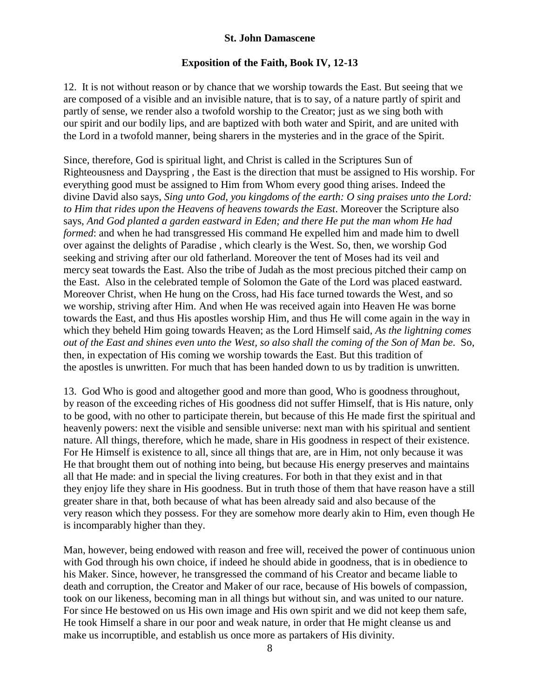## **St. John Damascene**

## **Exposition of the Faith, Book IV, 12-13**

12. It is not without reason or by chance that we worship towards the East. But seeing that we are composed of a visible and an invisible nature, that is to say, of a nature partly of spirit and partly of sense, we render also a twofold worship to the Creator; just as we sing both with our spirit and our bodily lips, and are [baptized](http://www.newadvent.org/cathen/02258b.htm) with both water and Spirit, and are united with the Lord in a twofold manner, being sharers in the [mysteries](http://www.newadvent.org/cathen/10662a.htm) and in the [grace](http://www.newadvent.org/cathen/06689a.htm) of the Spirit.

Since, therefore, God is spiritual light, and Christ is called in the [Scriptures](http://www.newadvent.org/bible/index.html) Sun of Righteousness and Dayspring , the East is the direction that must be assigned to His worship. For everything good must be assigned to Him from Whom every good thing arises. Indeed the divine David also says, *Sing unto [God,](http://www.newadvent.org/cathen/06608a.htm) you kingdoms of the earth: O sing praises unto the Lord: to Him that rides upon the Heavens of heavens towards the East*. Moreover the [Scripture](http://www.newadvent.org/bible/index.html) also says, *And God planted a garden eastward in [Eden;](http://www.newadvent.org/cathen/14519a.htm) and there He put the man whom He had formed*: and when he had transgressed His command He expelled him and made him to dwell over against the delights of Paradise , which clearly is the West. So, then, we worship God seeking and striving after our old fatherland. Moreover the tent of [Moses](http://www.newadvent.org/cathen/10596a.htm) had its veil and mercy seat towards the East. Also the [tribe of Judah](http://www.newadvent.org/cathen/08536a.htm) as the most precious pitched their camp on the East. Also in the celebrated temple of Solomon the Gate of the Lord was placed eastward. Moreover Christ, when He hung on the Cross, had His face turned towards the West, and so we worship, striving after Him. And when He was received again into [Heaven](http://www.newadvent.org/cathen/07170a.htm) He was borne towards the East, and thus His [apostles](http://www.newadvent.org/cathen/01626c.htm) worship Him, and thus He will come again in the way in which they beheld Him going towards [Heaven;](http://www.newadvent.org/cathen/07170a.htm) as the Lord Himself said, *As the lightning comes out of the East and shines even unto the West, so also shall the coming of the [Son of Man](http://www.newadvent.org/cathen/14144a.htm) be*. So, then, in expectation of His coming we worship towards the East. But this tradition of the [apostles](http://www.newadvent.org/cathen/01626c.htm) is unwritten. For much that has been handed down to us by tradition is unwritten.

13. God Who is [good](http://www.newadvent.org/cathen/06636b.htm) and altogether good and more than good, Who is goodness throughout, by reason of the exceeding riches of His goodness did not suffer Himself, that is His nature, only to be good, with no other to participate therein, but because of this He made first the spiritual and heavenly powers: next the visible and sensible [universe:](http://www.newadvent.org/cathen/15183a.htm) next man with his spiritual and sentient nature. All things, therefore, which he made, share in His goodness in respect of their [existence.](http://www.newadvent.org/cathen/05543b.htm) For He Himself is [existence](http://www.newadvent.org/cathen/05543b.htm) to all, since all things that are, are in Him, not only because it was He that brought them out of nothing into being, but because His energy preserves and maintains all that He made: and in special the living creatures. For both in that they exist and in that they enjoy life they share in His goodness. But in [truth](http://www.newadvent.org/cathen/15073a.htm) those of them that have reason have a still greater share in that, both because of what has been already said and also because of the very reason which they possess. For they are somehow more dearly akin to Him, even though He is incomparably higher than they.

Man, however, being endowed with reason and [free will,](http://www.newadvent.org/cathen/06259a.htm) received the power of continuous union with God through his own choice, if indeed he should abide in goodness, that is in [obedience](http://www.newadvent.org/cathen/11181c.htm) to his Maker. Since, however, he transgressed the command of his Creator and became liable to death and corruption, the Creator and Maker of our race, because of His bowels of compassion, took on our likeness, becoming man in all things but without [sin,](http://www.newadvent.org/cathen/14004b.htm) and was united to our nature. For since He bestowed on us His own image and His own spirit and we did not keep them safe, He took Himself a share in our poor and weak nature, in order that He might cleanse us and make us incorruptible, and establish us once more as partakers of His divinity.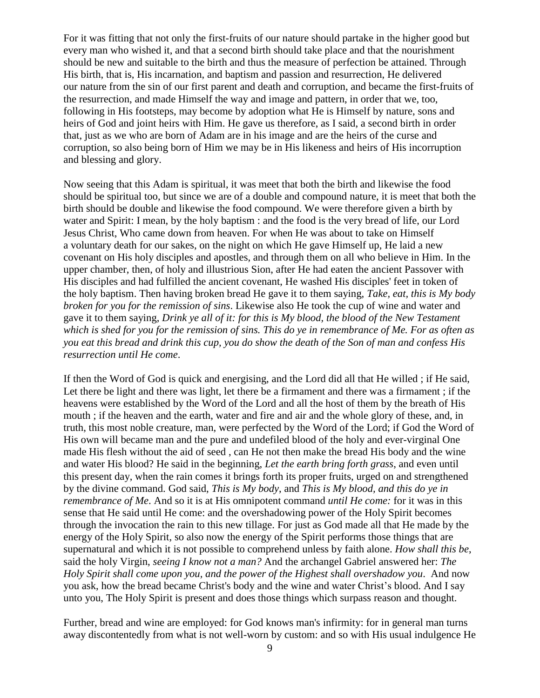For it was fitting that not only the [first-fruits](http://www.newadvent.org/cathen/06082a.htm) of our nature should partake in the higher good but every man who wished it, and that a second birth should take place and that the nourishment should be new and suitable to the birth and thus the measure of perfection be attained. Through His birth, that is, His [incarnation,](http://www.newadvent.org/cathen/07706b.htm) and [baptism](http://www.newadvent.org/cathen/02258b.htm) and passion and resurrection, He delivered our nature from the [sin](http://www.newadvent.org/cathen/14004b.htm) of our first parent and death and corruption, and became the [first-fruits](http://www.newadvent.org/cathen/06082a.htm) of the resurrection, and made Himself the way and image and pattern, in order that we, too, following in His footsteps, may become by adoption what He is Himself by nature, sons and heirs of [God](http://www.newadvent.org/cathen/06608a.htm) and joint heirs with Him. He gave us therefore, as I said, a second birth in order that, just as we who are born of [Adam](http://www.newadvent.org/cathen/01129a.htm) are in his image and are the heirs of the curse and corruption, so also being born of Him we may be in His likeness and heirs of His incorruption and blessing and [glory.](http://www.newadvent.org/cathen/06585a.htm)

Now seeing that this [Adam](http://www.newadvent.org/cathen/01129a.htm) is spiritual, it was meet that both the birth and likewise the food should be spiritual too, but since we are of a double and compound nature, it is meet that both the birth should be double and likewise the food compound. We were therefore given a birth by water and Spirit: I mean, by the [holy](http://www.newadvent.org/cathen/07386a.htm) [baptism](http://www.newadvent.org/cathen/02258b.htm) : and the food is the very bread of life, [our Lord](http://www.newadvent.org/cathen/08374c.htm)  [Jesus Christ,](http://www.newadvent.org/cathen/08374c.htm) Who came down from heaven. For when He was about to take on Himself a [voluntary](http://www.newadvent.org/cathen/15506a.htm) death for our sakes, on the night on which He gave Himself up, He laid a new covenant on His [holy](http://www.newadvent.org/cathen/07386a.htm) [disciples](http://www.newadvent.org/cathen/05029a.htm) and [apostles,](http://www.newadvent.org/cathen/01626c.htm) and through them on all who [believe](http://www.newadvent.org/cathen/02408b.htm) in Him. In the upper chamber, then, of [holy](http://www.newadvent.org/cathen/07386a.htm) and illustrious Sion, after He had eaten the ancient [Passover](http://www.newadvent.org/cathen/11512b.htm) with His [disciples](http://www.newadvent.org/cathen/05029a.htm) and had fulfilled the ancient covenant, He washed His [disciples'](http://www.newadvent.org/cathen/05029a.htm) feet in token of the [holy](http://www.newadvent.org/cathen/07386a.htm) [baptism.](http://www.newadvent.org/cathen/02258b.htm) Then having broken bread He gave it to them saying, *Take, eat, this is My body broken for you for the remission of [sins](http://www.newadvent.org/cathen/14004b.htm)*. Likewise also He took the cup of wine and water and gave it to them saying, *Drink ye all of it: for this is My blood, the blood of the [New Testament](http://www.newadvent.org/cathen/14530a.htm)  which is shed for you for the remission of [sins.](http://www.newadvent.org/cathen/14004b.htm) This do ye in remembrance of Me. For as often as you eat this bread and drink this cup, you do show the death of the [Son of man and confess His](http://www.newadvent.org/cathen/14144a.htm)  [resurrection](http://www.newadvent.org/cathen/12789a.htm) until He come*.

If then the [Word of God](http://www.newadvent.org/cathen/09328a.htm) is quick and energising, and the Lord did all that He willed ; if He said, Let there be light and there was light, let there be a firmament and there was a firmament ; if the heavens were established by the Word of the Lord and all the host of them by the breath of His mouth ; if the heaven and the earth, water and fire and air and the whole [glory](http://www.newadvent.org/cathen/06585a.htm) of these, and, in truth, this most noble creature, man, were perfected by the Word of the Lord; if [God the Word](http://www.newadvent.org/cathen/09328a.htm) of His own will became man and the pure and undefiled blood of the [holy](http://www.newadvent.org/cathen/07386a.htm) and ever-virginal One made His flesh without the aid of seed , can He not then make the bread His body and the wine and water His blood? He said in the beginning, *Let the earth bring forth grass*, and even until this present day, when the rain comes it brings forth its proper fruits, urged on and strengthened by the divine command. God said, *This is My body*, and *This is My blood, and this do ye in remembrance of Me*. And so it is at His [omnipotent](http://www.newadvent.org/cathen/11251c.htm) command *until He come:* for it was in this sense that He said until He come: and the overshadowing power of the [Holy Spirit](http://www.newadvent.org/cathen/07409a.htm) becomes through the invocation the rain to this new tillage. For just as God made all that He made by the energy of the [Holy Spirit,](http://www.newadvent.org/cathen/07409a.htm) so also now the energy of the Spirit performs those things that are supernatural and which it is not possible to comprehend unless by [faith](http://www.newadvent.org/cathen/05752c.htm) alone. *How shall this be*, said the [holy](http://www.newadvent.org/cathen/07386a.htm) Virgin, *seeing I [know](http://www.newadvent.org/cathen/08673a.htm) not a man?* And the archangel Gabriel answered her: *The [Holy Spirit](http://www.newadvent.org/cathen/07409a.htm) shall come upon you, and the power of the Highest shall overshadow you*. And now you ask, how the bread became Christ's body and the wine and water Christ's blood. And I say unto you, The [Holy Spirit](http://www.newadvent.org/cathen/07409a.htm) is present and does those things which surpass reason and thought.

Further, bread and wine are employed: for God [knows](http://www.newadvent.org/cathen/08673a.htm) man's infirmity: for in general man turns away discontentedly from what is not well-worn by custom: and so with His usual indulgence He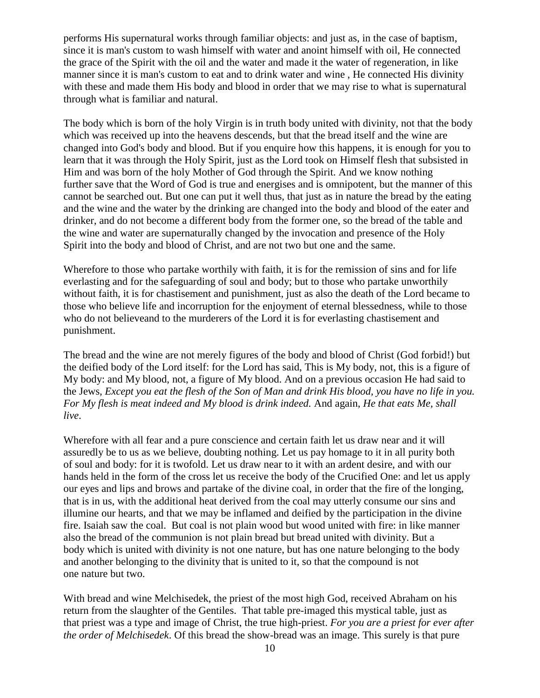performs His supernatural works through familiar objects: and just as, in the case of [baptism,](http://www.newadvent.org/cathen/02258b.htm) since it is man's custom to wash himself with water and anoint himself with oil, He connected the [grace](http://www.newadvent.org/cathen/06689a.htm) of the Spirit with the oil and the water and made it the water of regeneration, in like manner since it is man's custom to eat and to drink water and wine , He connected His divinity with these and made them His body and blood in order that we may rise to what is supernatural through what is familiar and natural.

The body which is born of the [holy](http://www.newadvent.org/cathen/07386a.htm) Virgin is in [truth](http://www.newadvent.org/cathen/15073a.htm) body united with divinity, not that the body which was received up into the heavens descends, but that the bread itself and the wine are changed into God's body and blood. But if you enquire how this happens, it is enough for you to learn that it was through the [Holy Spirit,](http://www.newadvent.org/cathen/07409a.htm) just as the Lord took on Himself flesh that subsisted in Him and was born of the [holy](http://www.newadvent.org/cathen/07386a.htm) [Mother of God](http://www.newadvent.org/cathen/15464b.htm) through the Spirit. And we [know](http://www.newadvent.org/cathen/08673a.htm) nothing further save that the [Word of God](http://www.newadvent.org/cathen/09328a.htm) is [true](http://www.newadvent.org/cathen/15073a.htm) and energises and is [omnipotent,](http://www.newadvent.org/cathen/11251c.htm) but the manner of this cannot be searched out. But one can put it well thus, that just as in nature the bread by the eating and the wine and the water by the drinking are changed into the body and blood of the eater and drinker, and do not become a different body from the former one, so the bread of the table and the wine and water are supernaturally changed by the invocation and presence of the [Holy](http://www.newadvent.org/cathen/07409a.htm)  [Spirit](http://www.newadvent.org/cathen/07409a.htm) into the body and blood of [Christ,](http://www.newadvent.org/cathen/08374c.htm) and are not two but one and the same.

Wherefore to those who partake worthily with [faith,](http://www.newadvent.org/cathen/05752c.htm) it is for the remission of [sins](http://www.newadvent.org/cathen/14004b.htm) and for life everlasting and for the safeguarding of [soul](http://www.newadvent.org/cathen/14153a.htm) and body; but to those who partake unworthily without [faith,](http://www.newadvent.org/cathen/05752c.htm) it is for chastisement and punishment, just as also the death of the Lord became to those who [believe](http://www.newadvent.org/cathen/02408b.htm) life and incorruption for the enjoyment of [eternal](http://www.newadvent.org/cathen/05551b.htm) blessedness, while to those who do not [believea](http://www.newadvent.org/cathen/02408b.htm)nd to the murderers of the Lord it is for everlasting chastisement and punishment.

The bread and the wine are not merely figures of the body and blood of Christ (God forbid!) but the deified body of the Lord itself: for the Lord has said, This is My body, not, this is a figure of My body: and My blood, not, a figure of My blood. And on a previous occasion He had said to the [Jews,](http://www.newadvent.org/cathen/08399a.htm) *Except you eat the flesh of the [Son of Man](http://www.newadvent.org/cathen/14144a.htm) and drink His blood, you have no life in you. For My flesh is meat indeed and My blood is drink indeed.* And again, *He that eats Me, shall live*.

Wherefore with all [fear](http://www.newadvent.org/cathen/06021a.htm) and a pure [conscience](http://www.newadvent.org/cathen/04268a.htm) and certain [faith](http://www.newadvent.org/cathen/05752c.htm) let us draw near and it will assuredly be to us as we [believe,](http://www.newadvent.org/cathen/02408b.htm) doubting nothing. Let us pay homage to it in all purity both of [soul](http://www.newadvent.org/cathen/14153a.htm) and body: for it is twofold. Let us draw near to it with an ardent desire, and with our hands held in the form of the cross let us receive the body of the Crucified One: and let us apply our eyes and lips and brows and partake of the divine coal, in order that the fire of the longing, that is in us, with the additional heat derived from the coal may utterly consume our [sins](http://www.newadvent.org/cathen/14004b.htm) and illumine our hearts, and that we may be inflamed and deified by the participation in the divine fire. Isaiah saw the coal. But coal is not plain wood but wood united with fire: in like manner also the bread of the communion is not plain bread but bread united with divinity. But a body which is united with divinity is not one nature, but has one nature belonging to the body and another belonging to the divinity that is united to it, so that the compound is not one nature but two.

With bread and wine Melchisedek, the [priest](http://www.newadvent.org/cathen/12406a.htm) of the most high [God,](http://www.newadvent.org/cathen/06608a.htm) received [Abraham](http://www.newadvent.org/cathen/01051a.htm) on his return from the slaughter of the [Gentiles.](http://www.newadvent.org/cathen/06422a.htm) That table pre-imaged this mystical table, just as that [priest](http://www.newadvent.org/cathen/12406a.htm) was a type and image of [Christ,](http://www.newadvent.org/cathen/08374c.htm) the [true](http://www.newadvent.org/cathen/15073a.htm) high[-priest.](http://www.newadvent.org/cathen/12406a.htm) *For you are a [priest](http://www.newadvent.org/cathen/12406a.htm) for ever after the order of Melchisedek*. Of this bread the show-bread was an image. This surely is that pure